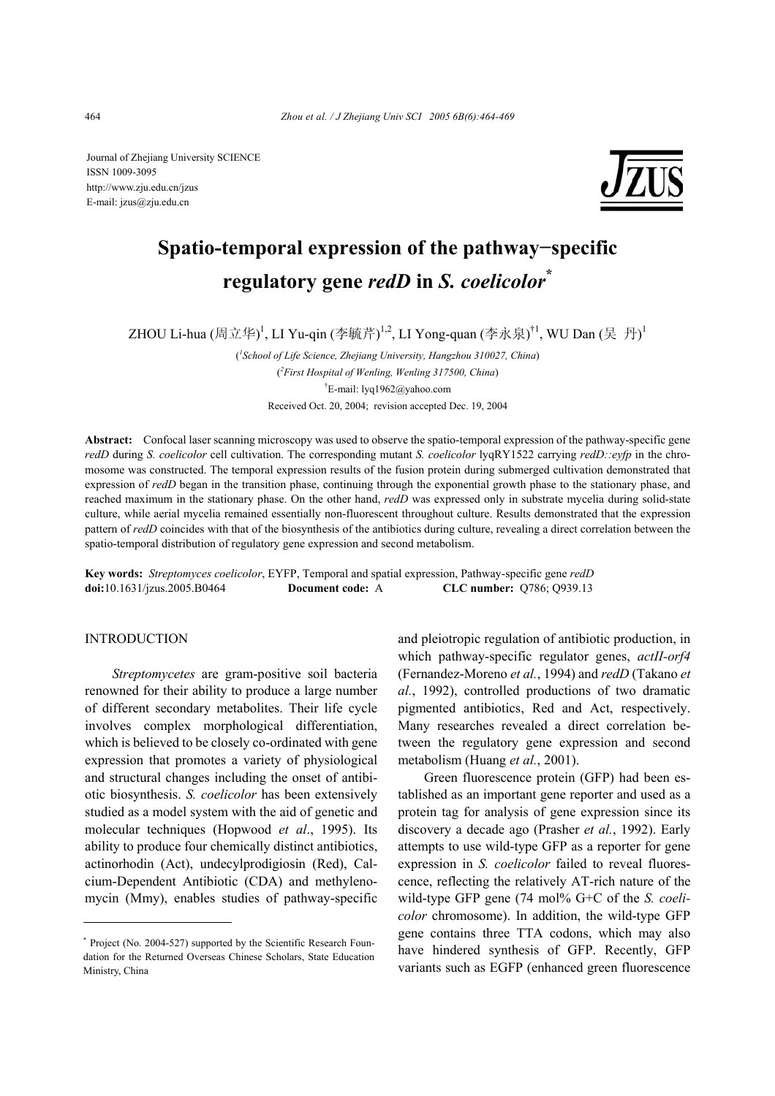Journal of Zhejiang University SCIENCE ISSN 1009-3095 http://www.zju.edu.cn/jzus E-mail: jzus@zju.edu.cn



# **Spatio-temporal expression of the pathway−specific regulatory gene** *redD* **in** *S. coelicolor***\***

ZHOU Li-hua (周立华)<sup>1</sup>, LI Yu-qin (李毓芹)<sup>1,2</sup>, LI Yong-quan (李永泉)<sup>†1</sup>, WU Dan (吴 丹)<sup>1</sup>

( *1 School of Life Science, Zhejiang University, Hangzhou 310027, China*) ( *2 First Hospital of Wenling, Wenling 317500, China*) † E-mail: lyq1962@yahoo.com Received Oct. 20, 2004; revision accepted Dec. 19, 2004

**Abstract:** Confocal laser scanning microscopy was used to observe the spatio-temporal expression of the pathway-specific gene *redD* during *S. coelicolor* cell cultivation. The corresponding mutant *S. coelicolor* lyqRY1522 carrying *redD::eyfp* in the chromosome was constructed. The temporal expression results of the fusion protein during submerged cultivation demonstrated that expression of *redD* began in the transition phase, continuing through the exponential growth phase to the stationary phase, and reached maximum in the stationary phase. On the other hand, *redD* was expressed only in substrate mycelia during solid-state culture, while aerial mycelia remained essentially non-fluorescent throughout culture. Results demonstrated that the expression pattern of *redD* coincides with that of the biosynthesis of the antibiotics during culture, revealing a direct correlation between the spatio-temporal distribution of regulatory gene expression and second metabolism.

**Key words:** *Streptomyces coelicolor*, EYFP, Temporal and spatial expression, Pathway-specific gene *redD*  **doi:**10.1631/jzus.2005.B0464 **Document code:** A **CLC number:** Q786; Q939.13

## **INTRODUCTION**

*Streptomycetes* are gram-positive soil bacteria renowned for their ability to produce a large number of different secondary metabolites. Their life cycle involves complex morphological differentiation, which is believed to be closely co-ordinated with gene expression that promotes a variety of physiological and structural changes including the onset of antibiotic biosynthesis. *S. coelicolor* has been extensively studied as a model system with the aid of genetic and molecular techniques (Hopwood *et al*., 1995). Its ability to produce four chemically distinct antibiotics, actinorhodin (Act), undecylprodigiosin (Red), Calcium-Dependent Antibiotic (CDA) and methylenomycin (Mmy), enables studies of pathway-specific

and pleiotropic regulation of antibiotic production, in which pathway-specific regulator genes, *actII-orf4*  (Fernandez-Moreno *et al.*, 1994) and *redD* (Takano *et al.*, 1992), controlled productions of two dramatic pigmented antibiotics, Red and Act, respectively. Many researches revealed a direct correlation between the regulatory gene expression and second metabolism (Huang *et al.*, 2001).

Green fluorescence protein (GFP) had been established as an important gene reporter and used as a protein tag for analysis of gene expression since its discovery a decade ago (Prasher *et al.*, 1992). Early attempts to use wild-type GFP as a reporter for gene expression in *S. coelicolor* failed to reveal fluorescence, reflecting the relatively AT-rich nature of the wild-type GFP gene (74 mol% G+C of the *S. coelicolor* chromosome). In addition, the wild-type GFP gene contains three TTA codons, which may also have hindered synthesis of GFP. Recently, GFP variants such as EGFP (enhanced green fluorescence

<sup>\*</sup> Project (No. 2004-527) supported by the Scientific Research Foundation for the Returned Overseas Chinese Scholars, State Education Ministry, China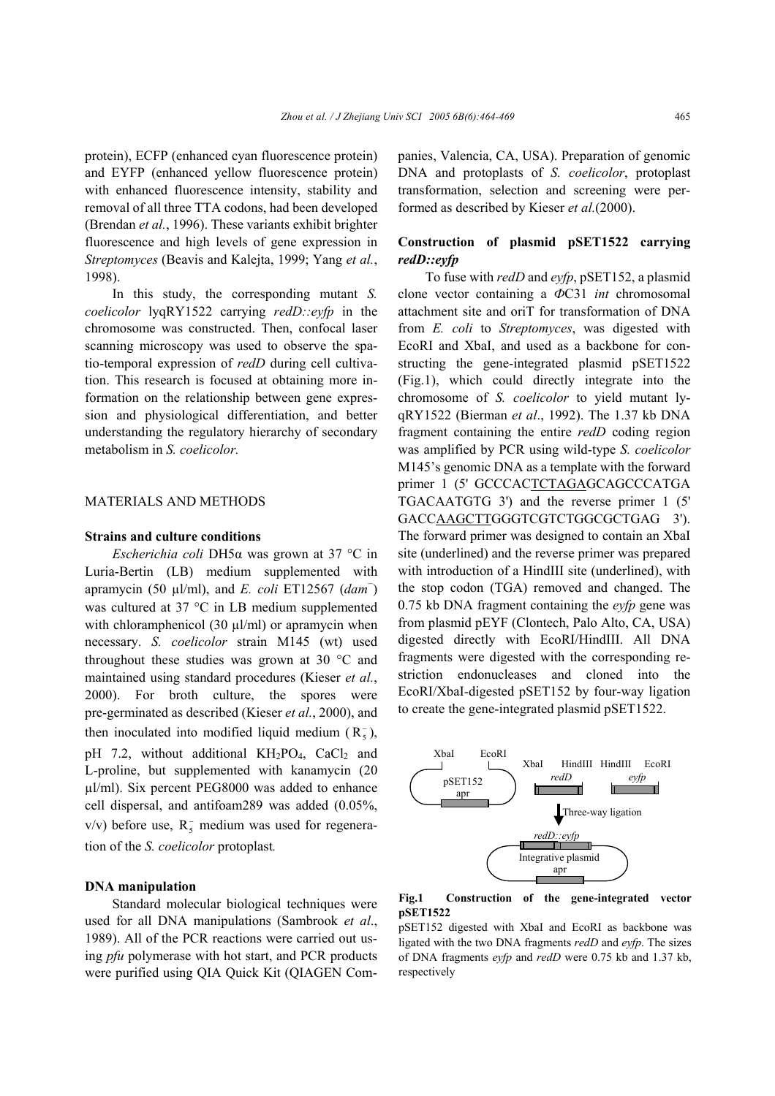protein), ECFP (enhanced cyan fluorescence protein) and EYFP (enhanced yellow fluorescence protein) with enhanced fluorescence intensity, stability and removal of all three TTA codons, had been developed (Brendan *et al.*, 1996). These variants exhibit brighter fluorescence and high levels of gene expression in *Streptomyces* (Beavis and Kalejta, 1999; Yang *et al.*, 1998).

In this study, the corresponding mutant *S. coelicolor* lyqRY1522 carrying *redD::eyfp* in the chromosome was constructed. Then, confocal laser scanning microscopy was used to observe the spatio-temporal expression of *redD* during cell cultivation. This research is focused at obtaining more information on the relationship between gene expression and physiological differentiation, and better understanding the regulatory hierarchy of secondary metabolism in *S. coelicolor.* 

### MATERIALS AND METHODS

### **Strains and culture conditions**

*Escherichia coli* DH5α was grown at 37 °C in Luria-Bertin (LB) medium supplemented with apramycin (50 µl/ml), and *E. coli* ET12567 (*dam*<sup>−</sup> ) was cultured at 37 °C in LB medium supplemented with chloramphenicol (30  $\mu$ l/ml) or apramycin when necessary. *S. coelicolor* strain M145 (wt) used throughout these studies was grown at 30 °C and maintained using standard procedures (Kieser *et al.*, 2000). For broth culture, the spores were pre-germinated as described (Kieser *et al.*, 2000), and then inoculated into modified liquid medium  $(R_5^-)$ , pH 7.2, without additional  $KH_2PO_4$ , CaCl<sub>2</sub> and L-proline, but supplemented with kanamycin (20  $\mu$ l/ml). Six percent PEG8000 was added to enhance cell dispersal, and antifoam289 was added (0.05%,  $v/v$ ) before use,  $R_5^-$  medium was used for regeneration of the *S. coelicolor* protoplast*.* 

### **DNA manipulation**

Standard molecular biological techniques were used for all DNA manipulations (Sambrook *et al*., 1989). All of the PCR reactions were carried out using *pfu* polymerase with hot start, and PCR products were purified using QIA Quick Kit (QIAGEN Companies, Valencia, CA, USA). Preparation of genomic DNA and protoplasts of *S. coelicolor*, protoplast transformation, selection and screening were performed as described by Kieser *et al.*(2000).

# **Construction of plasmid pSET1522 carrying**  *redD::eyfp*

To fuse with *redD* and *eyfp*, pSET152, a plasmid clone vector containing a *Ф*C31 *int* chromosomal attachment site and oriT for transformation of DNA from *E. coli* to *Streptomyces*, was digested with EcoRI and XbaI, and used as a backbone for constructing the gene-integrated plasmid pSET1522 (Fig.1), which could directly integrate into the chromosome of *S. coelicolor* to yield mutant lyqRY1522 (Bierman *et al*., 1992). The 1.37 kb DNA fragment containing the entire *redD* coding region was amplified by PCR using wild-type *S. coelicolor* M145's genomic DNA as a template with the forward primer 1 (5' GCCCACTCTAGAGCAGCCCATGA TGACAATGTG 3') and the reverse primer 1 (5' GACCAAGCTTGGGTCGTCTGGCGCTGAG 3'). The forward primer was designed to contain an XbaI site (underlined) and the reverse primer was prepared with introduction of a HindIII site (underlined), with the stop codon (TGA) removed and changed. The 0.75 kb DNA fragment containing the *eyfp* gene was from plasmid pEYF (Clontech, Palo Alto, CA, USA) digested directly with EcoRI/HindIII. All DNA fragments were digested with the corresponding restriction endonucleases and cloned into the EcoRI/XbaI*-*digested pSET152 by four-way ligation to create the gene-integrated plasmid pSET1522.



**Fig.1 Construction of the gene-integrated vector pSET1522** 

pSET152 digested with XbaI and EcoRI as backbone was ligated with the two DNA fragments *redD* and *eyfp*. The sizes of DNA fragments *eyfp* and *redD* were 0.75 kb and 1.37 kb, respectively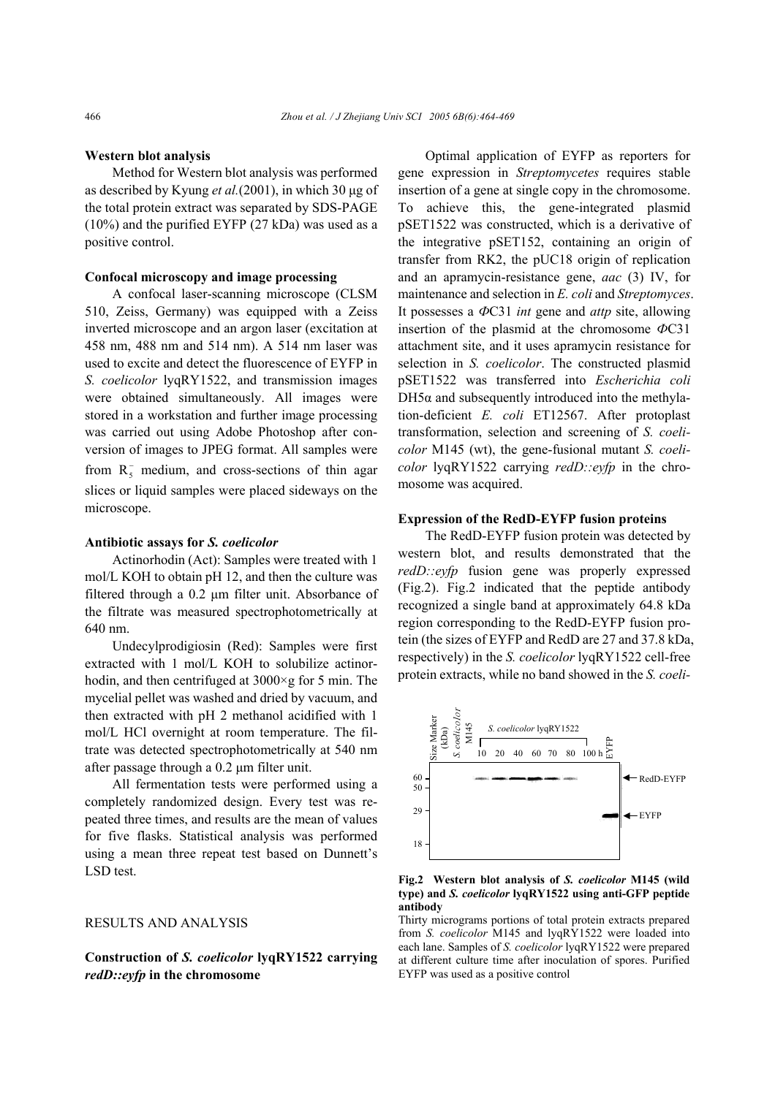#### **Western blot analysis**

Method for Western blot analysis was performed as described by Kyung *et al.*(2001), in which 30 µg of the total protein extract was separated by SDS-PAGE (10%) and the purified EYFP (27 kDa) was used as a positive control.

#### **Confocal microscopy and image processing**

A confocal laser-scanning microscope (CLSM 510, Zeiss, Germany) was equipped with a Zeiss inverted microscope and an argon laser (excitation at 458 nm, 488 nm and 514 nm). A 514 nm laser was used to excite and detect the fluorescence of EYFP in *S. coelicolor* lyqRY1522, and transmission images were obtained simultaneously. All images were stored in a workstation and further image processing was carried out using Adobe Photoshop after conversion of images to JPEG format. All samples were from  $R_5^-$  medium, and cross-sections of thin agar slices or liquid samples were placed sideways on the microscope.

#### **Antibiotic assays for** *S. coelicolor*

Actinorhodin (Act): Samples were treated with 1 mol/L KOH to obtain pH 12, and then the culture was filtered through a 0.2 µm filter unit. Absorbance of the filtrate was measured spectrophotometrically at 640 nm.

Undecylprodigiosin (Red): Samples were first extracted with 1 mol/L KOH to solubilize actinorhodin, and then centrifuged at 3000×g for 5 min. The mycelial pellet was washed and dried by vacuum, and then extracted with pH 2 methanol acidified with 1 mol/L HCl overnight at room temperature. The filtrate was detected spectrophotometrically at 540 nm after passage through a 0.2 µm filter unit.

All fermentation tests were performed using a completely randomized design. Every test was repeated three times, and results are the mean of values for five flasks. Statistical analysis was performed using a mean three repeat test based on Dunnett's LSD test.

## RESULTS AND ANALYSIS

**Construction of** *S. coelicolor* **lyqRY1522 carrying**  *redD::eyfp* **in the chromosome** 

Optimal application of EYFP as reporters for gene expression in *Streptomycetes* requires stable insertion of a gene at single copy in the chromosome. To achieve this, the gene-integrated plasmid pSET1522 was constructed, which is a derivative of the integrative pSET152, containing an origin of transfer from RK2, the pUC18 origin of replication and an apramycin-resistance gene, *aac* (3) IV, for maintenance and selection in *E. coli* and *Streptomyces*. It possesses a *Ф*C31 *int* gene and *attp* site, allowing insertion of the plasmid at the chromosome *Ф*C31 attachment site, and it uses apramycin resistance for selection in *S. coelicolor*. The constructed plasmid pSET1522 was transferred into *Escherichia coli*  $DH5\alpha$  and subsequently introduced into the methylation-deficient *E. coli* ET12567. After protoplast transformation, selection and screening of *S. coelicolor* M145 (wt), the gene-fusional mutant *S. coelicolor* lyqRY1522 carrying *redD::eyfp* in the chromosome was acquired.

## **Expression of the RedD-EYFP fusion proteins**

The RedD-EYFP fusion protein was detected by western blot, and results demonstrated that the *redD::eyfp* fusion gene was properly expressed (Fig.2). Fig.2 indicated that the peptide antibody recognized a single band at approximately 64.8 kDa region corresponding to the RedD-EYFP fusion protein (the sizes of EYFP and RedD are 27 and 37.8 kDa, respectively) in the *S. coelicolor* lyqRY1522 cell-free protein extracts, while no band showed in the *S. coeli-*



**Fig.2 Western blot analysis of** *S. coelicolor* **M145 (wild type) and** *S. coelicolor* **lyqRY1522 using anti-GFP peptide antibody** 

Thirty micrograms portions of total protein extracts prepared from *S. coelicolor* M145 and lyqRY1522 were loaded into each lane. Samples of *S. coelicolor* lyqRY1522 were prepared at different culture time after inoculation of spores. Purified EYFP was used as a positive control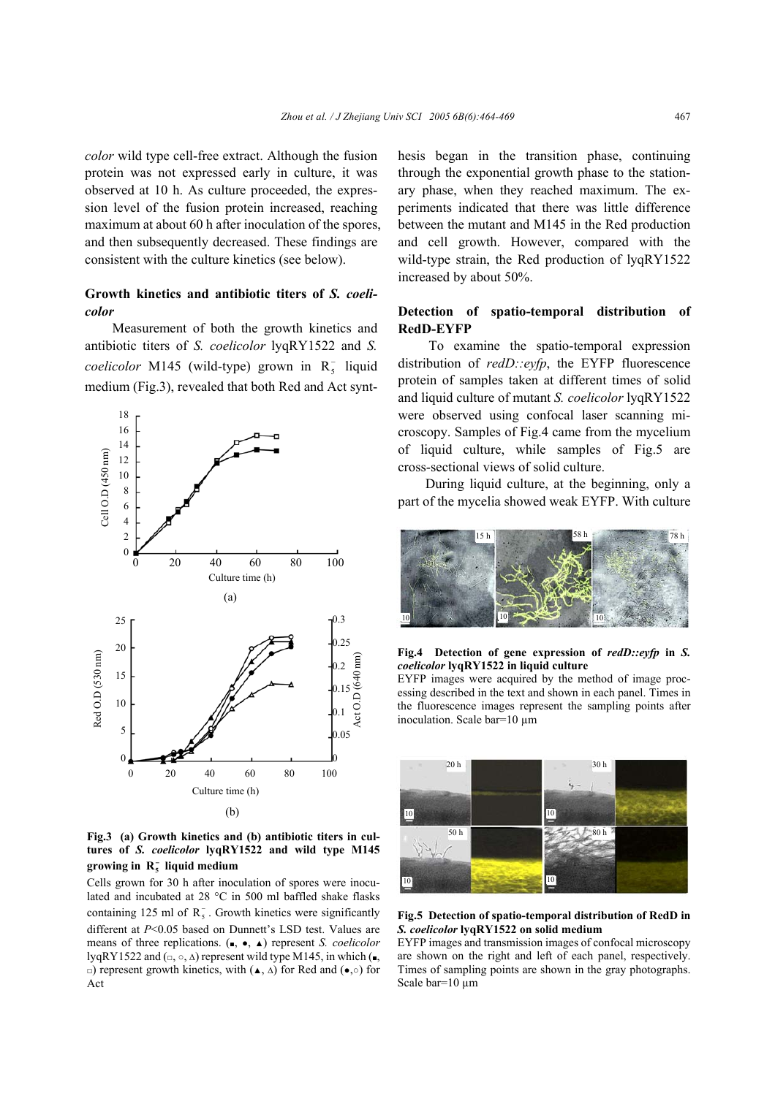*color* wild type cell-free extract. Although the fusion protein was not expressed early in culture, it was observed at 10 h. As culture proceeded, the expression level of the fusion protein increased, reaching maximum at about 60 h after inoculation of the spores, and then subsequently decreased. These findings are consistent with the culture kinetics (see below).

# **Growth kinetics and antibiotic titers of** *S. coelicolor*

Measurement of both the growth kinetics and antibiotic titers of *S. coelicolor* lyqRY1522 and *S.*   $coelicolor$  M145 (wild-type) grown in  $R_5^-$  liquid medium (Fig.3), revealed that both Red and Act synt-



**Fig.3 (a) Growth kinetics and (b) antibiotic titers in cultures of** *S. coelicolor* **lyqRY1522 and wild type M145 growing in R5** <sup>−</sup> **liquid medium** 

Cells grown for 30 h after inoculation of spores were inoculated and incubated at 28 °C in 500 ml baffled shake flasks containing 125 ml of  $R_5^-$ . Growth kinetics were significantly different at *P*<0.05 based on Dunnett's LSD test. Values are means of three replications. (■, ●, ▲) represent *S. coelicolor* lyqRY1522 and  $(\square, \square, \triangle)$  represent wild type M145, in which  $(\square, \square)$ □) represent growth kinetics, with (▲, ∆) for Red and (●,○) for Act

hesis began in the transition phase, continuing through the exponential growth phase to the stationary phase, when they reached maximum. The experiments indicated that there was little difference between the mutant and M145 in the Red production and cell growth. However, compared with the wild-type strain, the Red production of lyqRY1522 increased by about 50%.

## **Detection of spatio-temporal distribution of RedD-EYFP**

To examine the spatio-temporal expression distribution of *redD::eyfp*, the EYFP fluorescence protein of samples taken at different times of solid and liquid culture of mutant *S. coelicolor* lyqRY1522 were observed using confocal laser scanning microscopy. Samples of Fig.4 came from the mycelium of liquid culture, while samples of Fig.5 are cross-sectional views of solid culture.

During liquid culture, at the beginning, only a part of the mycelia showed weak EYFP. With culture



#### **Fig.4 Detection of gene expression of** *redD::eyfp* **in** *S. coelicolor* **lyqRY1522 in liquid culture**

EYFP images were acquired by the method of image processing described in the text and shown in each panel. Times in the fluorescence images represent the sampling points after inoculation. Scale bar=10 µm



#### **Fig.5 Detection of spatio-temporal distribution of RedD in** *S. coelicolor* **lyqRY1522 on solid medium**

EYFP images and transmission images of confocal microscopy are shown on the right and left of each panel, respectively. Times of sampling points are shown in the gray photographs. Scale bar=10 um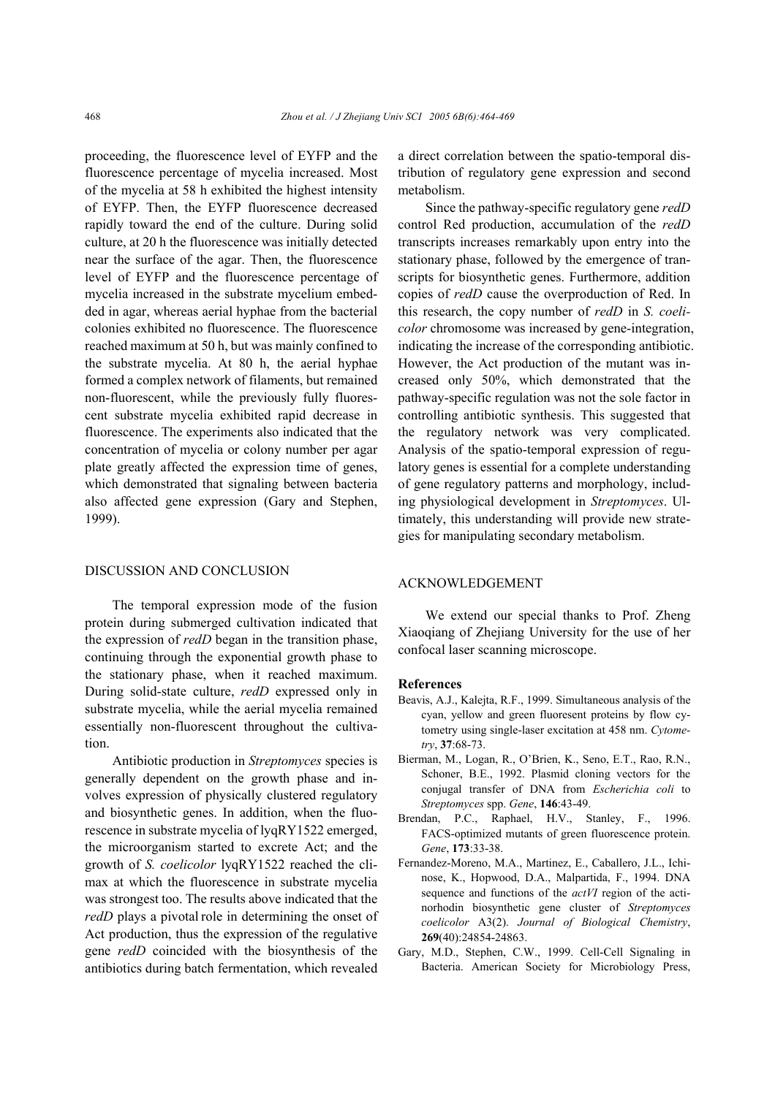proceeding, the fluorescence level of EYFP and the fluorescence percentage of mycelia increased. Most of the mycelia at 58 h exhibited the highest intensity of EYFP. Then, the EYFP fluorescence decreased rapidly toward the end of the culture. During solid culture, at 20 h the fluorescence was initially detected near the surface of the agar. Then, the fluorescence level of EYFP and the fluorescence percentage of mycelia increased in the substrate mycelium embedded in agar, whereas aerial hyphae from the bacterial colonies exhibited no fluorescence. The fluorescence reached maximum at 50 h, but was mainly confined to the substrate mycelia. At 80 h, the aerial hyphae formed a complex network of filaments, but remained non-fluorescent, while the previously fully fluorescent substrate mycelia exhibited rapid decrease in fluorescence. The experiments also indicated that the concentration of mycelia or colony number per agar plate greatly affected the expression time of genes, which demonstrated that signaling between bacteria also affected gene expression (Gary and Stephen, 1999).

## DISCUSSION AND CONCLUSION

The temporal expression mode of the fusion protein during submerged cultivation indicated that the expression of *redD* began in the transition phase, continuing through the exponential growth phase to the stationary phase, when it reached maximum. During solid-state culture, *redD* expressed only in substrate mycelia, while the aerial mycelia remained essentially non-fluorescent throughout the cultivation.

Antibiotic production in *Streptomyces* species is generally dependent on the growth phase and involves expression of physically clustered regulatory and biosynthetic genes. In addition, when the fluorescence in substrate mycelia of lyqRY1522 emerged, the microorganism started to excrete Act; and the growth of *S. coelicolor* lyqRY1522 reached the climax at which the fluorescence in substrate mycelia was strongest too. The results above indicated that the *redD* plays a pivotal role in determining the onset of Act production, thus the expression of the regulative gene *redD* coincided with the biosynthesis of the antibiotics during batch fermentation, which revealed a direct correlation between the spatio-temporal distribution of regulatory gene expression and second metabolism.

Since the pathway-specific regulatory gene *redD*  control Red production, accumulation of the *redD* transcripts increases remarkably upon entry into the stationary phase, followed by the emergence of transcripts for biosynthetic genes. Furthermore, addition copies of *redD* cause the overproduction of Red. In this research, the copy number of *redD* in *S. coelicolor* chromosome was increased by gene-integration, indicating the increase of the corresponding antibiotic. However, the Act production of the mutant was increased only 50%, which demonstrated that the pathway-specific regulation was not the sole factor in controlling antibiotic synthesis. This suggested that the regulatory network was very complicated. Analysis of the spatio-temporal expression of regulatory genes is essential for a complete understanding of gene regulatory patterns and morphology, including physiological development in *Streptomyces*. Ultimately, this understanding will provide new strategies for manipulating secondary metabolism.

# ACKNOWLEDGEMENT

We extend our special thanks to Prof. Zheng Xiaoqiang of Zhejiang University for the use of her confocal laser scanning microscope.

#### **References**

- Beavis, A.J., Kalejta, R.F., 1999. Simultaneous analysis of the cyan, yellow and green fluoresent proteins by flow cytometry using single-laser excitation at 458 nm. *Cytometry*, **37**:68-73.
- Bierman, M., Logan, R., O'Brien, K., Seno, E.T., Rao, R.N., Schoner, B.E., 1992. Plasmid cloning vectors for the conjugal transfer of DNA from *Escherichia coli* to *Streptomyces* spp. *Gene*, **146**:43-49.
- Brendan, P.C., Raphael, H.V., Stanley, F., 1996. FACS-optimized mutants of green fluorescence protein. *Gene*, **173**:33-38.
- Fernandez-Moreno, M.A., Martinez, E., Caballero, J.L., Ichinose, K., Hopwood, D.A., Malpartida, F., 1994. DNA sequence and functions of the *actVI* region of the actinorhodin biosynthetic gene cluster of *Streptomyces coelicolor* A3(2). *Journal of Biological Chemistry*, **269**(40):24854-24863.
- Gary, M.D., Stephen, C.W., 1999. Cell-Cell Signaling in Bacteria. American Society for Microbiology Press,